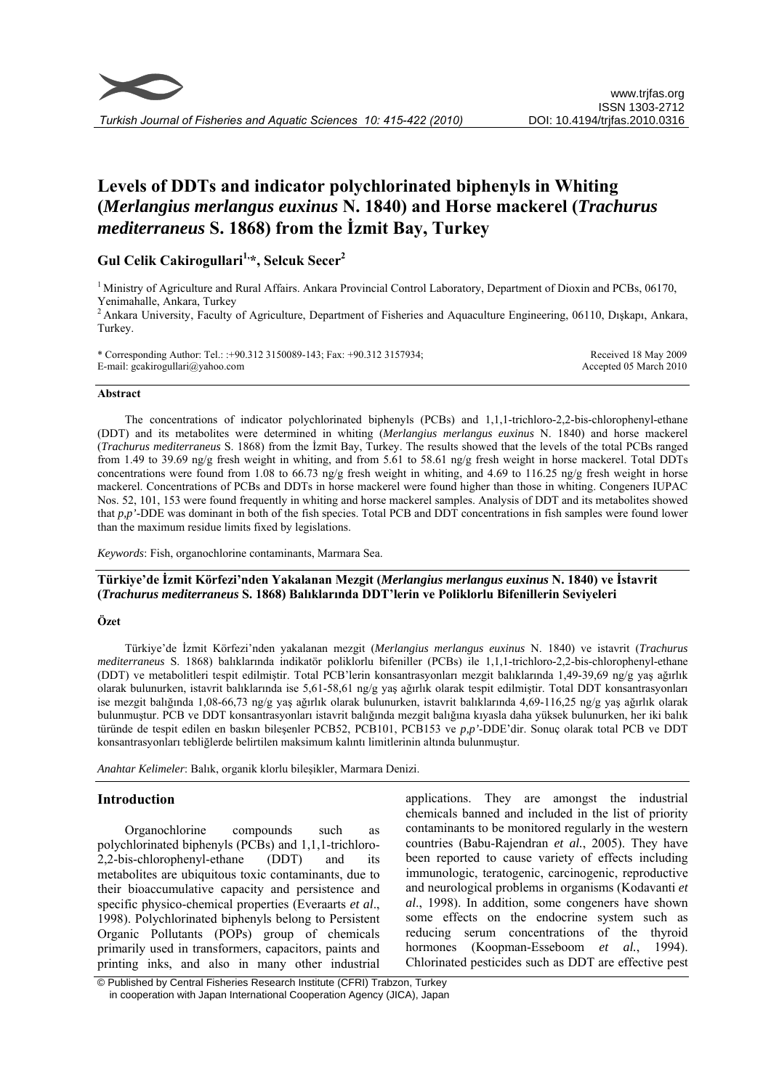

*Turkish Journal of Fisheries and Aquatic Sciences 10: 415-422 (2010)* 

# **Levels of DDTs and indicator polychlorinated biphenyls in Whiting (***Merlangius merlangus euxinus* **N. 1840) and Horse mackerel (***Trachurus mediterraneus* **S. 1868) from the İzmit Bay, Turkey**

# Gul Celik Cakirogullari<sup>1,\*</sup>, Selcuk Secer<sup>2</sup>

<sup>1</sup> Ministry of Agriculture and Rural Affairs. Ankara Provincial Control Laboratory, Department of Dioxin and PCBs, 06170, Yenimahalle, Ankara, Turkey

<sup>2</sup> Ankara University, Faculty of Agriculture, Department of Fisheries and Aquaculture Engineering, 06110, Dışkapı, Ankara, Turkey.

\* Corresponding Author: Tel.: :+90.312 3150089-143; Fax: +90.312 3157934; E-mail: gcakirogullari@yahoo.com

Received 18 May 2009 Accepted 05 March 2010

#### **Abstract**

The concentrations of indicator polychlorinated biphenyls (PCBs) and 1,1,1-trichloro-2,2-bis-chlorophenyl-ethane (DDT) and its metabolites were determined in whiting (*Merlangius merlangus euxinus* N. 1840) and horse mackerel (*Trachurus mediterraneus* S. 1868) from the İzmit Bay, Turkey. The results showed that the levels of the total PCBs ranged from 1.49 to 39.69 ng/g fresh weight in whiting, and from 5.61 to 58.61 ng/g fresh weight in horse mackerel. Total DDTs concentrations were found from 1.08 to 66.73 ng/g fresh weight in whiting, and 4.69 to 116.25 ng/g fresh weight in horse mackerel. Concentrations of PCBs and DDTs in horse mackerel were found higher than those in whiting. Congeners IUPAC Nos. 52, 101, 153 were found frequently in whiting and horse mackerel samples. Analysis of DDT and its metabolites showed that *p,p'*-DDE was dominant in both of the fish species. Total PCB and DDT concentrations in fish samples were found lower than the maximum residue limits fixed by legislations.

*Keywords*: Fish, organochlorine contaminants, Marmara Sea.

# **Türkiye'de İzmit Körfezi'nden Yakalanan Mezgit (***Merlangius merlangus euxinus* **N. 1840) ve İstavrit (***Trachurus mediterraneus* **S. 1868) Balıklarında DDT'lerin ve Poliklorlu Bifenillerin Seviyeleri**

### **Özet**

Türkiye'de İzmit Körfezi'nden yakalanan mezgit (*Merlangius merlangus euxinus* N. 1840) ve istavrit (*Trachurus mediterraneus* S. 1868) balıklarında indikatör poliklorlu bifeniller (PCBs) ile 1,1,1-trichloro-2,2-bis-chlorophenyl-ethane (DDT) ve metabolitleri tespit edilmiştir. Total PCB'lerin konsantrasyonları mezgit balıklarında 1,49-39,69 ng/g yaş ağırlık olarak bulunurken, istavrit balıklarında ise 5,61-58,61 ng/g yaş ağırlık olarak tespit edilmiştir. Total DDT konsantrasyonları ise mezgit balığında 1,08-66,73 ng/g yaş ağırlık olarak bulunurken, istavrit balıklarında 4,69-116,25 ng/g yaş ağırlık olarak bulunmuştur. PCB ve DDT konsantrasyonları istavrit balığında mezgit balığına kıyasla daha yüksek bulunurken, her iki balık türünde de tespit edilen en baskın bileşenler PCB52, PCB101, PCB153 ve *p,p'*-DDE'dir. Sonuç olarak total PCB ve DDT konsantrasyonları tebliğlerde belirtilen maksimum kalıntı limitlerinin altında bulunmuştur.

*Anahtar Kelimeler*: Balık, organik klorlu bileşikler, Marmara Denizi.

# **Introduction**

Organochlorine compounds such as polychlorinated biphenyls (PCBs) and 1,1,1-trichloro-2,2-bis-chlorophenyl-ethane (DDT) and its metabolites are ubiquitous toxic contaminants, due to their bioaccumulative capacity and persistence and specific physico-chemical properties (Everaarts *et al*., 1998). Polychlorinated biphenyls belong to Persistent Organic Pollutants (POPs) group of chemicals primarily used in transformers, capacitors, paints and printing inks, and also in many other industrial

applications. They are amongst the industrial chemicals banned and included in the list of priority contaminants to be monitored regularly in the western countries (Babu-Rajendran *et al.*, 2005). They have been reported to cause variety of effects including immunologic, teratogenic, carcinogenic, reproductive and neurological problems in organisms (Kodavanti *et al*., 1998). In addition, some congeners have shown some effects on the endocrine system such as reducing serum concentrations of the thyroid hormones (Koopman-Esseboom *et al.*, 1994). Chlorinated pesticides such as DDT are effective pest

 <sup>©</sup> Published by Central Fisheries Research Institute (CFRI) Trabzon, Turkey in cooperation with Japan International Cooperation Agency (JICA), Japan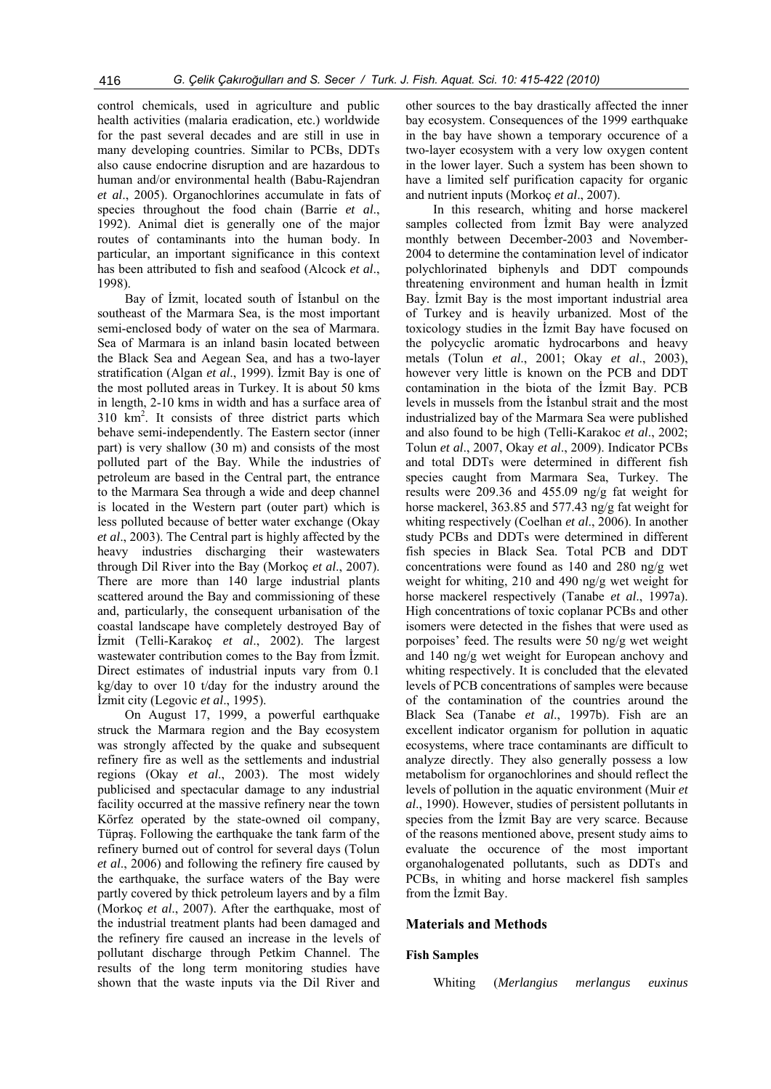control chemicals, used in agriculture and public health activities (malaria eradication, etc.) worldwide for the past several decades and are still in use in many developing countries. Similar to PCBs, DDTs also cause endocrine disruption and are hazardous to human and/or environmental health (Babu-Rajendran *et al*., 2005). Organochlorines accumulate in fats of species throughout the food chain (Barrie *et al*., 1992). Animal diet is generally one of the major routes of contaminants into the human body. In particular, an important significance in this context has been attributed to fish and seafood (Alcock *et al*., 1998).

Bay of İzmit, located south of İstanbul on the southeast of the Marmara Sea, is the most important semi-enclosed body of water on the sea of Marmara. Sea of Marmara is an inland basin located between the Black Sea and Aegean Sea, and has a two-layer stratification (Algan *et al*., 1999). İzmit Bay is one of the most polluted areas in Turkey. It is about 50 kms in length, 2-10 kms in width and has a surface area of  $310 \text{ km}^2$ . It consists of three district parts which behave semi-independently. The Eastern sector (inner part) is very shallow (30 m) and consists of the most polluted part of the Bay. While the industries of petroleum are based in the Central part, the entrance to the Marmara Sea through a wide and deep channel is located in the Western part (outer part) which is less polluted because of better water exchange (Okay *et al*., 2003). The Central part is highly affected by the heavy industries discharging their wastewaters through Dil River into the Bay (Morkoç *et al*., 2007). There are more than 140 large industrial plants scattered around the Bay and commissioning of these and, particularly, the consequent urbanisation of the coastal landscape have completely destroyed Bay of İzmit (Telli-Karakoç *et al*., 2002). The largest wastewater contribution comes to the Bay from İzmit. Direct estimates of industrial inputs vary from 0.1 kg/day to over 10 t/day for the industry around the İzmit city (Legovic *et al*., 1995).

On August 17, 1999, a powerful earthquake struck the Marmara region and the Bay ecosystem was strongly affected by the quake and subsequent refinery fire as well as the settlements and industrial regions (Okay *et al*., 2003). The most widely publicised and spectacular damage to any industrial facility occurred at the massive refinery near the town Körfez operated by the state-owned oil company, Tüpraş. Following the earthquake the tank farm of the refinery burned out of control for several days (Tolun *et al*., 2006) and following the refinery fire caused by the earthquake, the surface waters of the Bay were partly covered by thick petroleum layers and by a film (Morkoç *et al*., 2007). After the earthquake, most of the industrial treatment plants had been damaged and the refinery fire caused an increase in the levels of pollutant discharge through Petkim Channel. The results of the long term monitoring studies have shown that the waste inputs via the Dil River and

other sources to the bay drastically affected the inner bay ecosystem. Consequences of the 1999 earthquake in the bay have shown a temporary occurence of a two-layer ecosystem with a very low oxygen content in the lower layer. Such a system has been shown to have a limited self purification capacity for organic and nutrient inputs (Morkoç *et al*., 2007).

In this research, whiting and horse mackerel samples collected from İzmit Bay were analyzed monthly between December-2003 and November-2004 to determine the contamination level of indicator polychlorinated biphenyls and DDT compounds threatening environment and human health in İzmit Bay. İzmit Bay is the most important industrial area of Turkey and is heavily urbanized. Most of the toxicology studies in the İzmit Bay have focused on the polycyclic aromatic hydrocarbons and heavy metals (Tolun *et al*., 2001; Okay *et al*., 2003), however very little is known on the PCB and DDT contamination in the biota of the İzmit Bay. PCB levels in mussels from the İstanbul strait and the most industrialized bay of the Marmara Sea were published and also found to be high (Telli-Karakoc *et al*., 2002; Tolun *et al*., 2007, Okay *et al*., 2009). Indicator PCBs and total DDTs were determined in different fish species caught from Marmara Sea, Turkey. The results were 209.36 and 455.09 ng/g fat weight for horse mackerel, 363.85 and 577.43 ng/g fat weight for whiting respectively (Coelhan *et al*., 2006). In another study PCBs and DDTs were determined in different fish species in Black Sea. Total PCB and DDT concentrations were found as 140 and 280 ng/g wet weight for whiting, 210 and 490 ng/g wet weight for horse mackerel respectively (Tanabe *et al*., 1997a). High concentrations of toxic coplanar PCBs and other isomers were detected in the fishes that were used as porpoises' feed. The results were 50 ng/g wet weight and 140 ng/g wet weight for European anchovy and whiting respectively. It is concluded that the elevated levels of PCB concentrations of samples were because of the contamination of the countries around the Black Sea (Tanabe *et al*., 1997b). Fish are an excellent indicator organism for pollution in aquatic ecosystems, where trace contaminants are difficult to analyze directly. They also generally possess a low metabolism for organochlorines and should reflect the levels of pollution in the aquatic environment (Muir *et al*., 1990). However, studies of persistent pollutants in species from the İzmit Bay are very scarce. Because of the reasons mentioned above, present study aims to evaluate the occurence of the most important organohalogenated pollutants, such as DDTs and PCBs, in whiting and horse mackerel fish samples from the İzmit Bay.

# **Materials and Methods**

#### **Fish Samples**

Whiting (*Merlangius merlangus euxinus*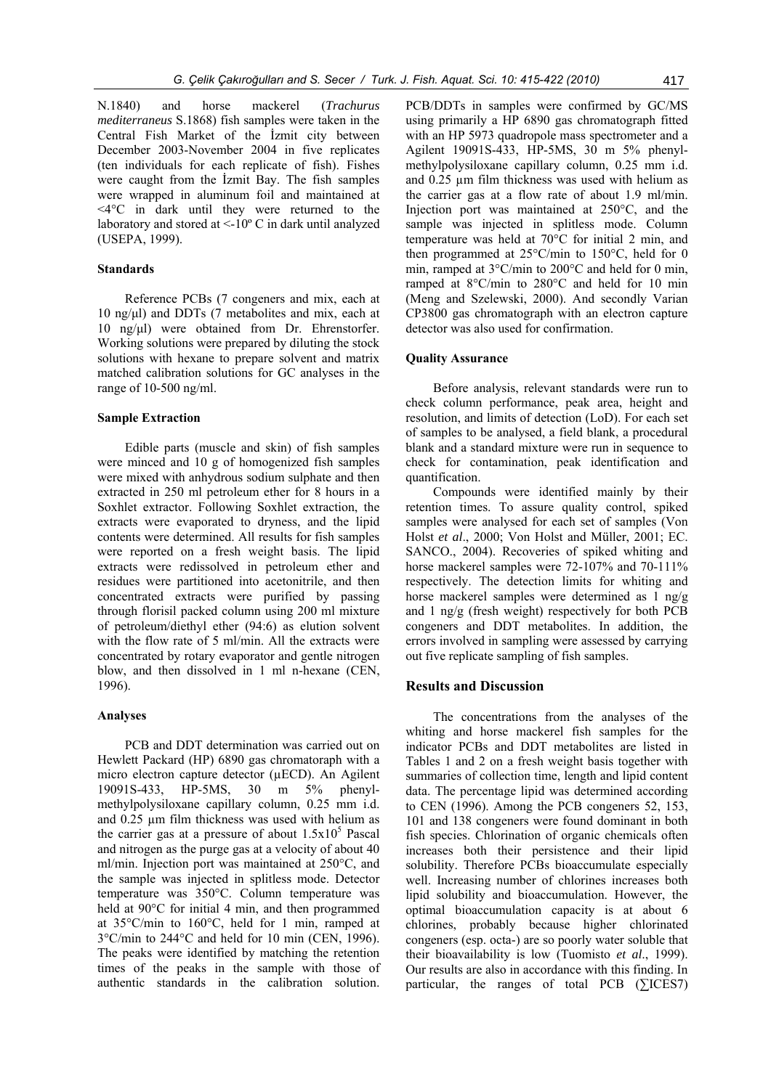N.1840) and horse mackerel (*Trachurus mediterraneus* S.1868) fish samples were taken in the Central Fish Market of the İzmit city between December 2003-November 2004 in five replicates (ten individuals for each replicate of fish). Fishes were caught from the İzmit Bay. The fish samples were wrapped in aluminum foil and maintained at <4°C in dark until they were returned to the laboratory and stored at  $\leq$ -10 $\degree$ C in dark until analyzed (USEPA, 1999).

# **Standards**

Reference PCBs (7 congeners and mix, each at 10 ng/μl) and DDTs (7 metabolites and mix, each at 10 ng/μl) were obtained from Dr. Ehrenstorfer. Working solutions were prepared by diluting the stock solutions with hexane to prepare solvent and matrix matched calibration solutions for GC analyses in the range of 10-500 ng/ml.

# **Sample Extraction**

Edible parts (muscle and skin) of fish samples were minced and 10 g of homogenized fish samples were mixed with anhydrous sodium sulphate and then extracted in 250 ml petroleum ether for 8 hours in a Soxhlet extractor. Following Soxhlet extraction, the extracts were evaporated to dryness, and the lipid contents were determined. All results for fish samples were reported on a fresh weight basis. The lipid extracts were redissolved in petroleum ether and residues were partitioned into acetonitrile, and then concentrated extracts were purified by passing through florisil packed column using 200 ml mixture of petroleum/diethyl ether (94:6) as elution solvent with the flow rate of 5 ml/min. All the extracts were concentrated by rotary evaporator and gentle nitrogen blow, and then dissolved in 1 ml n-hexane (CEN, 1996).

### **Analyses**

PCB and DDT determination was carried out on Hewlett Packard (HP) 6890 gas chromatoraph with a micro electron capture detector (µECD). An Agilent 19091S-433, HP-5MS, 30 m 5% phenylmethylpolysiloxane capillary column, 0.25 mm i.d. and 0.25 µm film thickness was used with helium as the carrier gas at a pressure of about  $1.5x10^5$  Pascal and nitrogen as the purge gas at a velocity of about 40 ml/min. Injection port was maintained at 250°C, and the sample was injected in splitless mode. Detector temperature was 350°C. Column temperature was held at 90°C for initial 4 min, and then programmed at 35°C/min to 160°C, held for 1 min, ramped at 3°C/min to 244°C and held for 10 min (CEN, 1996). The peaks were identified by matching the retention times of the peaks in the sample with those of authentic standards in the calibration solution.

PCB/DDTs in samples were confirmed by GC/MS using primarily a HP 6890 gas chromatograph fitted with an HP 5973 quadropole mass spectrometer and a Agilent 19091S-433, HP-5MS, 30 m 5% phenylmethylpolysiloxane capillary column, 0.25 mm i.d. and 0.25 µm film thickness was used with helium as the carrier gas at a flow rate of about 1.9 ml/min. Injection port was maintained at 250°C, and the sample was injected in splitless mode. Column temperature was held at 70°C for initial 2 min, and then programmed at 25°C/min to 150°C, held for 0 min, ramped at 3°C/min to 200°C and held for 0 min, ramped at 8°C/min to 280°C and held for 10 min (Meng and Szelewski, 2000). And secondly Varian CP3800 gas chromatograph with an electron capture detector was also used for confirmation.

#### **Quality Assurance**

Before analysis, relevant standards were run to check column performance, peak area, height and resolution, and limits of detection (LoD). For each set of samples to be analysed, a field blank, a procedural blank and a standard mixture were run in sequence to check for contamination, peak identification and quantification.

Compounds were identified mainly by their retention times. To assure quality control, spiked samples were analysed for each set of samples (Von Holst *et al*., 2000; Von Holst and Müller, 2001; EC. SANCO., 2004). Recoveries of spiked whiting and horse mackerel samples were 72-107% and 70-111% respectively. The detection limits for whiting and horse mackerel samples were determined as 1 ng/g and 1 ng/g (fresh weight) respectively for both PCB congeners and DDT metabolites. In addition, the errors involved in sampling were assessed by carrying out five replicate sampling of fish samples.

# **Results and Discussion**

The concentrations from the analyses of the whiting and horse mackerel fish samples for the indicator PCBs and DDT metabolites are listed in Tables 1 and 2 on a fresh weight basis together with summaries of collection time, length and lipid content data. The percentage lipid was determined according to CEN (1996). Among the PCB congeners 52, 153, 101 and 138 congeners were found dominant in both fish species. Chlorination of organic chemicals often increases both their persistence and their lipid solubility. Therefore PCBs bioaccumulate especially well. Increasing number of chlorines increases both lipid solubility and bioaccumulation. However, the optimal bioaccumulation capacity is at about 6 chlorines, probably because higher chlorinated congeners (esp. octa-) are so poorly water soluble that their bioavailability is low (Tuomisto *et al*., 1999). Our results are also in accordance with this finding. In particular, the ranges of total PCB ( $\Sigma$ ICES7)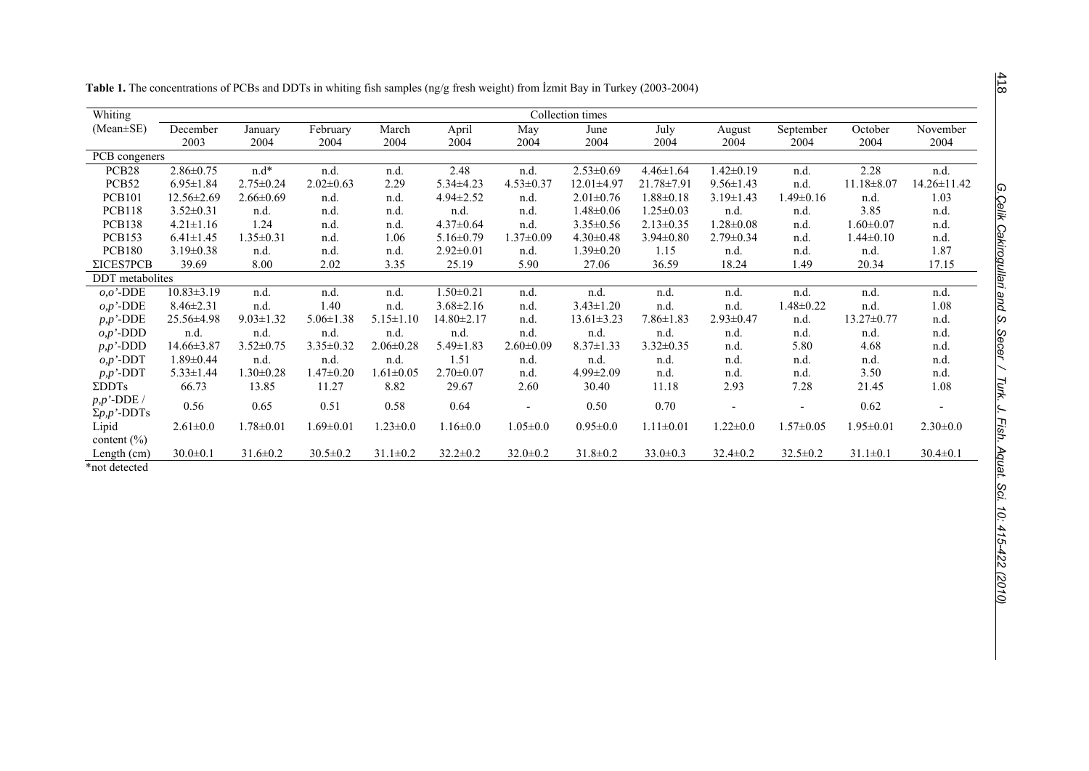| e<br>۰,<br>٧ |  |
|--------------|--|

| Whiting              |                  |                 |                 |                 |                  |                          | Collection times |                  |                 |                              |                  |                |
|----------------------|------------------|-----------------|-----------------|-----------------|------------------|--------------------------|------------------|------------------|-----------------|------------------------------|------------------|----------------|
| $(Mean \pm SE)$      | December         | January         | February        | March           | April            | May                      | June             | July             | August          | September                    | October          | November       |
|                      | 2003             | 2004            | 2004            | 2004            | 2004             | 2004                     | 2004             | 2004             | 2004            | 2004                         | 2004             | 2004           |
| PCB congeners        |                  |                 |                 |                 |                  |                          |                  |                  |                 |                              |                  |                |
| PCB <sub>28</sub>    | $2.86 \pm 0.75$  | $n.d*$          | n.d.            | n.d.            | 2.48             | n.d.                     | $2.53 \pm 0.69$  | $4.46 \pm 1.64$  | $1.42 \pm 0.19$ | n.d.                         | 2.28             | n.d.           |
| PCB <sub>52</sub>    | $6.95 \pm 1.84$  | $2.75 \pm 0.24$ | $2.02 \pm 0.63$ | 2.29            | $5.34 \pm 4.23$  | $4.53 \pm 0.37$          | 12.01±4.97       | $21.78 \pm 7.91$ | $9.56 \pm 1.43$ | n.d.                         | $11.18 \pm 8.07$ | 14.26±11.42    |
| <b>PCB101</b>        | $12.56 \pm 2.69$ | $2.66 \pm 0.69$ | n.d.            | n.d.            | $4.94 \pm 2.52$  | n.d.                     | $2.01 \pm 0.76$  | $1.88 \pm 0.18$  | $3.19 \pm 1.43$ | 1.49±0.16                    | n.d.             | 1.03           |
| <b>PCB118</b>        | $3.52 \pm 0.31$  | n.d.            | n.d.            | n.d.            | n.d.             | n.d.                     | $1.48 \pm 0.06$  | $1.25 \pm 0.03$  | n.d.            | n.d.                         | 3.85             | n.d.           |
| <b>PCB138</b>        | $4.21 \pm 1.16$  | 1.24            | n.d.            | n.d.            | $4.37 \pm 0.64$  | n.d.                     | $3.35 \pm 0.56$  | $2.13 \pm 0.35$  | $1.28 \pm 0.08$ | n.d.                         | $1.60 \pm 0.07$  | n.d.           |
| <b>PCB153</b>        | $6.41 \pm 1.45$  | $1.35 \pm 0.31$ | n.d.            | 1.06            | $5.16 \pm 0.79$  | $1.37 \pm 0.09$          | $4.30 \pm 0.48$  | $3.94 \pm 0.80$  | $2.79 \pm 0.34$ | n.d.                         | $1.44 \pm 0.10$  | n.d.           |
| <b>PCB180</b>        | $3.19 \pm 0.38$  | n.d.            | n.d.            | n.d.            | $2.92 \pm 0.01$  | n.d.                     | $1.39 \pm 0.20$  | 1.15             | n.d.            | n.d.                         | n.d.             | 1.87           |
| ΣICES7PCB            | 39.69            | 8.00            | 2.02            | 3.35            | 25.19            | 5.90                     | 27.06            | 36.59            | 18.24           | 1.49                         | 20.34            | 17.15          |
| DDT metabolites      |                  |                 |                 |                 |                  |                          |                  |                  |                 |                              |                  |                |
| $o,o'$ -DDE          | $10.83 \pm 3.19$ | n.d.            | n.d.            | n.d.            | $1.50 \pm 0.21$  | n.d.                     | n.d.             | n.d.             | n.d.            | n.d.                         | n.d.             | n.d.           |
| $o, p'$ -DDE         | $8.46 \pm 2.31$  | n.d.            | 1.40            | n.d.            | $3.68 \pm 2.16$  | n.d.                     | $3.43 \pm 1.20$  | n.d.             | n.d.            | $1.48 \pm 0.22$              | n.d.             | 1.08           |
| $p, p'$ -DDE         | 25.56±4.98       | $9.03 \pm 1.32$ | $5.06 \pm 1.38$ | $5.15 \pm 1.10$ | $14.80 \pm 2.17$ | n.d.                     | $13.61 \pm 3.23$ | $7.86 \pm 1.83$  | $2.93 \pm 0.47$ | n.d.                         | 13.27±0.77       | n.d.           |
| $o, p'$ -DDD         | n.d.             | n.d.            | n.d.            | n.d.            | n.d.             | n.d.                     | n.d.             | n.d.             | n.d.            | n.d.                         | n.d.             | n.d.           |
| $p, p'$ -DDD         | 14.66±3.87       | $3.52 \pm 0.75$ | $3.35 \pm 0.32$ | $2.06 \pm 0.28$ | $5.49 \pm 1.83$  | $2.60 \pm 0.09$          | $8.37 \pm 1.33$  | $3.32 \pm 0.35$  | n.d.            | 5.80                         | 4.68             | n.d.           |
| $o, p'$ -DDT         | $1.89 \pm 0.44$  | n.d.            | n.d.            | n.d.            | 1.51             | n.d.                     | n.d.             | n.d.             | n.d.            | n.d.                         | n.d.             | n.d.           |
| $p, p'$ -DDT         | $5.33 \pm 1.44$  | $.30 \pm 0.28$  | $1.47 \pm 0.20$ | $1.61 \pm 0.05$ | $2.70 \pm 0.07$  | n.d.                     | $4.99 \pm 2.09$  | n.d.             | n.d.            | n.d.                         | 3.50             | n.d.           |
| $\Sigma$ DDTs        | 66.73            | 13.85           | 11.27           | 8.82            | 29.67            | 2.60                     | 30.40            | 11.18            | 2.93            | 7.28                         | 21.45            | 1.08           |
| $p, p'$ -DDE /       | 0.56             | 0.65            | 0.51            | 0.58            | 0.64             | $\overline{\phantom{a}}$ | 0.50             | 0.70             | ٠               | $\qquad \qquad \blacksquare$ | 0.62             |                |
| $\Sigma p$ , p'-DDTs |                  |                 |                 |                 |                  |                          |                  |                  |                 |                              |                  |                |
| Lipid                | $2.61 \pm 0.0$   | $1.78 \pm 0.01$ | $1.69 \pm 0.01$ | $1.23 \pm 0.0$  | $1.16 \pm 0.0$   | $1.05 \pm 0.0$           | $0.95 \pm 0.0$   | $1.11 \pm 0.01$  | $1.22 \pm 0.0$  | $1.57 \pm 0.05$              | $1.95 \pm 0.01$  | $2.30 \pm 0.0$ |
| content $(\% )$      |                  |                 |                 |                 |                  |                          |                  |                  |                 |                              |                  |                |
| Length (cm)          | $30.0 \pm 0.1$   | $31.6 \pm 0.2$  | $30.5 \pm 0.2$  | $31.1 \pm 0.2$  | $32.2 \pm 0.2$   | $32.0 \pm 0.2$           | $31.8 \pm 0.2$   | $33.0 \pm 0.3$   | $32.4 \pm 0.2$  | $32.5 \pm 0.2$               | $31.1 \pm 0.1$   | $30.4 \pm 0.1$ |
| *not detected        |                  |                 |                 |                 |                  |                          |                  |                  |                 |                              |                  |                |

**Table 1.** The concentrations of PCBs and DDTs in whiting fish samples (ng/g fresh weight) from İzmit Bay in Turkey (2003-2004)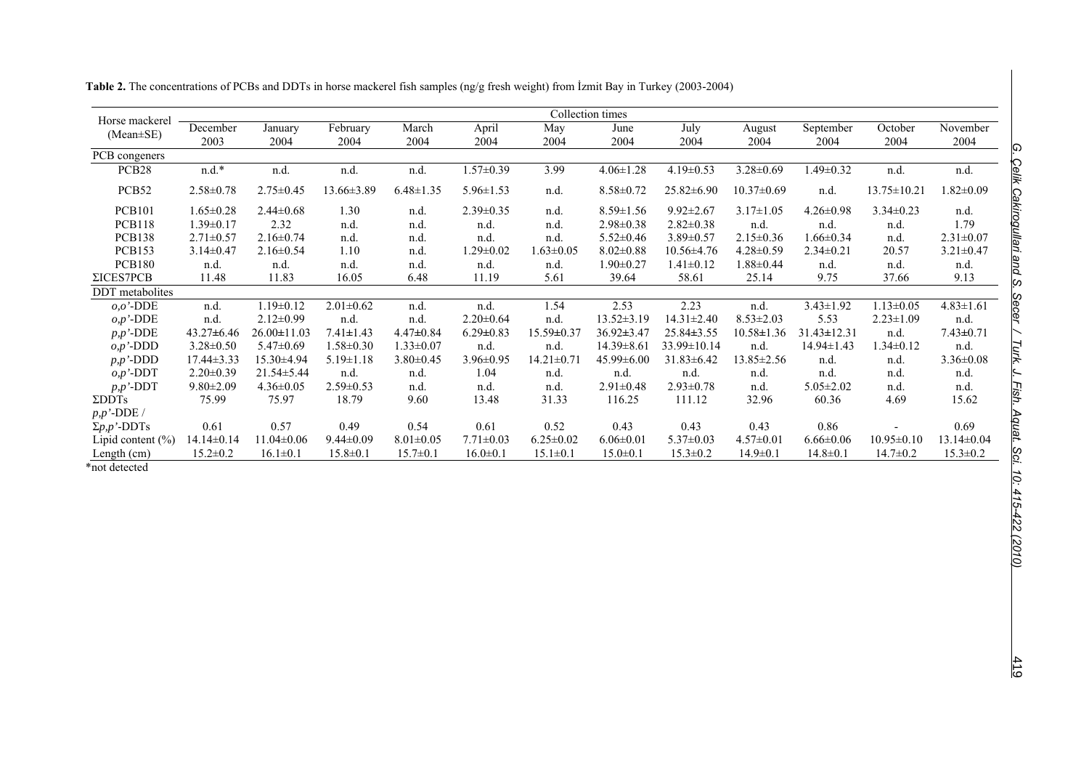| Horse mackerel        |                  | Collection times  |                  |                 |                 |                  |                  |                   |                  |                   |                   |                  |  |
|-----------------------|------------------|-------------------|------------------|-----------------|-----------------|------------------|------------------|-------------------|------------------|-------------------|-------------------|------------------|--|
| (Mean±SE)             | December<br>2003 | January<br>2004   | February<br>2004 | March<br>2004   | April<br>2004   | May<br>2004      | June<br>2004     | July<br>2004      | August<br>2004   | September<br>2004 | October<br>2004   | November<br>2004 |  |
| PCB congeners         |                  |                   |                  |                 |                 |                  |                  |                   |                  |                   |                   |                  |  |
| PCB <sub>28</sub>     | $n.d.*$          | n.d.              | n.d.             | n.d.            | $1.57 \pm 0.39$ | 3.99             | $4.06 \pm 1.28$  | $4.19 \pm 0.53$   | $3.28 \pm 0.69$  | $1.49 \pm 0.32$   | n.d.              | n.d.             |  |
| PCB <sub>52</sub>     | $2.58 \pm 0.78$  | $2.75 \pm 0.45$   | $13.66 \pm 3.89$ | $6.48 \pm 1.35$ | $5.96 \pm 1.53$ | n.d.             | $8.58 \pm 0.72$  | $25.82 \pm 6.90$  | $10.37 \pm 0.69$ | n.d.              | $13.75 \pm 10.21$ | $1.82 \pm 0.09$  |  |
| <b>PCB101</b>         | $1.65 \pm 0.28$  | $2.44 \pm 0.68$   | 1.30             | n.d.            | $2.39 \pm 0.35$ | n.d.             | $8.59 \pm 1.56$  | $9.92 \pm 2.67$   | $3.17 \pm 1.05$  | $4.26 \pm 0.98$   | $3.34 \pm 0.23$   | n.d.             |  |
| <b>PCB118</b>         | $1.39 \pm 0.17$  | 2.32              | n.d.             | n.d.            | n.d.            | n.d.             | $2.98 \pm 0.38$  | $2.82 \pm 0.38$   | n.d.             | n.d.              | n.d.              | 1.79             |  |
| <b>PCB138</b>         | $2.71 \pm 0.57$  | $2.16 \pm 0.74$   | n.d.             | n.d             | n.d.            | n.d.             | $5.52 \pm 0.46$  | $3.89 \pm 0.57$   | $2.15 \pm 0.36$  | $1.66 \pm 0.34$   | n.d.              | $2.31 \pm 0.07$  |  |
| <b>PCB153</b>         | $3.14 \pm 0.47$  | $2.16 \pm 0.54$   | 1.10             | n.d.            | $1.29 \pm 0.02$ | $1.63 \pm 0.05$  | $8.02 \pm 0.88$  | $10.56 \pm 4.76$  | $4.28 \pm 0.59$  | $2.34 \pm 0.21$   | 20.57             | $3.21 \pm 0.47$  |  |
| <b>PCB180</b>         | n.d.             | n.d.              | n.d.             | n.d.            | n.d.            | n.d.             | $1.90 \pm 0.27$  | $1.41 \pm 0.12$   | $1.88 \pm 0.44$  | n.d.              | n.d.              | n.d.             |  |
| ΣICES7PCB             | 11.48            | 11.83             | 16.05            | 6.48            | 11.19           | 5.61             | 39.64            | 58.61             | 25.14            | 9.75              | 37.66             | 9.13             |  |
| DDT metabolites       |                  |                   |                  |                 |                 |                  |                  |                   |                  |                   |                   |                  |  |
| $o,o'$ -DDE           | n.d.             | $1.19 \pm 0.12$   | $2.01 \pm 0.62$  | n.d.            | n.d.            | 1.54             | 2.53             | 2.23              | n.d.             | $3.43 \pm 1.92$   | $1.13 \pm 0.05$   | $4.83 \pm 1.61$  |  |
| $o, p$ '-DDE          | n.d.             | $2.12 \pm 0.99$   | n.d.             | n.d.            | $2.20 \pm 0.64$ | n.d.             | $13.52 \pm 3.19$ | $14.31 \pm 2.40$  | $8.53 \pm 2.03$  | 5.53              | $2.23 \pm 1.09$   | n.d.             |  |
| $p, p'$ -DDE          | $43.27\pm 6.46$  | $26.00 \pm 11.03$ | $7.41 \pm 1.43$  | $4.47 \pm 0.84$ | $6.29 \pm 0.83$ | $15.59 \pm 0.37$ | $36.92 \pm 3.47$ | $25.84\pm3.55$    | $10.58 \pm 1.36$ | $31.43 \pm 12.31$ | n.d.              | $7.43 \pm 0.71$  |  |
| $o, p'$ -DDD          | $3.28 \pm 0.50$  | $5.47 \pm 0.69$   | $1.58 \pm 0.30$  | $1.33 \pm 0.07$ | n.d.            | n.d.             | $14.39 \pm 8.61$ | $33.99 \pm 10.14$ | n.d.             | $14.94 \pm 1.43$  | $1.34 \pm 0.12$   | n.d.             |  |
| $p, p'$ -DDD          | $17.44 \pm 3.33$ | 15.30±4.94        | $5.19 \pm 1.18$  | $3.80 \pm 0.45$ | $3.96 \pm 0.95$ | $14.21 \pm 0.71$ | $45.99 \pm 6.00$ | $31.83 \pm 6.42$  | $13.85 \pm 2.56$ | n.d.              | n.d.              | $3.36 \pm 0.08$  |  |
| $o, p'$ -DDT          | $2.20 \pm 0.39$  | $21.54 \pm 5.44$  | n.d.             | n.d.            | 1.04            | n.d.             | n.d.             | n.d.              | n.d.             | n.d.              | n.d.              | n.d.             |  |
| $p, p'$ -DDT          | $9.80 \pm 2.09$  | $4.36 \pm 0.05$   | $2.59 \pm 0.53$  | n.d.            | n.d.            | n.d.             | $2.91 \pm 0.48$  | $2.93 \pm 0.78$   | n.d.             | $5.05 \pm 2.02$   | n.d.              | n.d.             |  |
| $\Sigma$ DDTs         | 75.99            | 75.97             | 18.79            | 9.60            | 13.48           | 31.33            | 116.25           | 111.12            | 32.96            | 60.36             | 4.69              | 15.62            |  |
| $p, p'$ -DDE /        |                  |                   |                  |                 |                 |                  |                  |                   |                  |                   |                   |                  |  |
| $\Sigma p, p'$ -DDTs  | 0.61             | 0.57              | 0.49             | 0.54            | 0.61            | 0.52             | 0.43             | 0.43              | 0.43             | 0.86              |                   | 0.69             |  |
| Lipid content $(\% )$ | $14.14 \pm 0.14$ | $11.04 \pm 0.06$  | $9.44 \pm 0.09$  | $8.01 \pm 0.05$ | $7.71 \pm 0.03$ | $6.25 \pm 0.02$  | $6.06 \pm 0.01$  | $5.37 \pm 0.03$   | $4.57 \pm 0.01$  | $6.66 \pm 0.06$   | $10.95 \pm 0.10$  | $13.14 \pm 0.04$ |  |
| Length (cm)           | $15.2 \pm 0.2$   | $16.1 \pm 0.1$    | $15.8 \pm 0.1$   | $15.7 \pm 0.1$  | $16.0 \pm 0.1$  | $15.1 \pm 0.1$   | $15.0 \pm 0.1$   | $15.3 \pm 0.2$    | $14.9 \pm 0.1$   | $14.8 \pm 0.1$    | $14.7 \pm 0.2$    | $15.3 \pm 0.2$   |  |

**Table 2.** The concentrations of PCBs and DDTs in horse mackerel fish samples (ng/g fresh weight) from İzmit Bay in Turkey (2003-2004)

419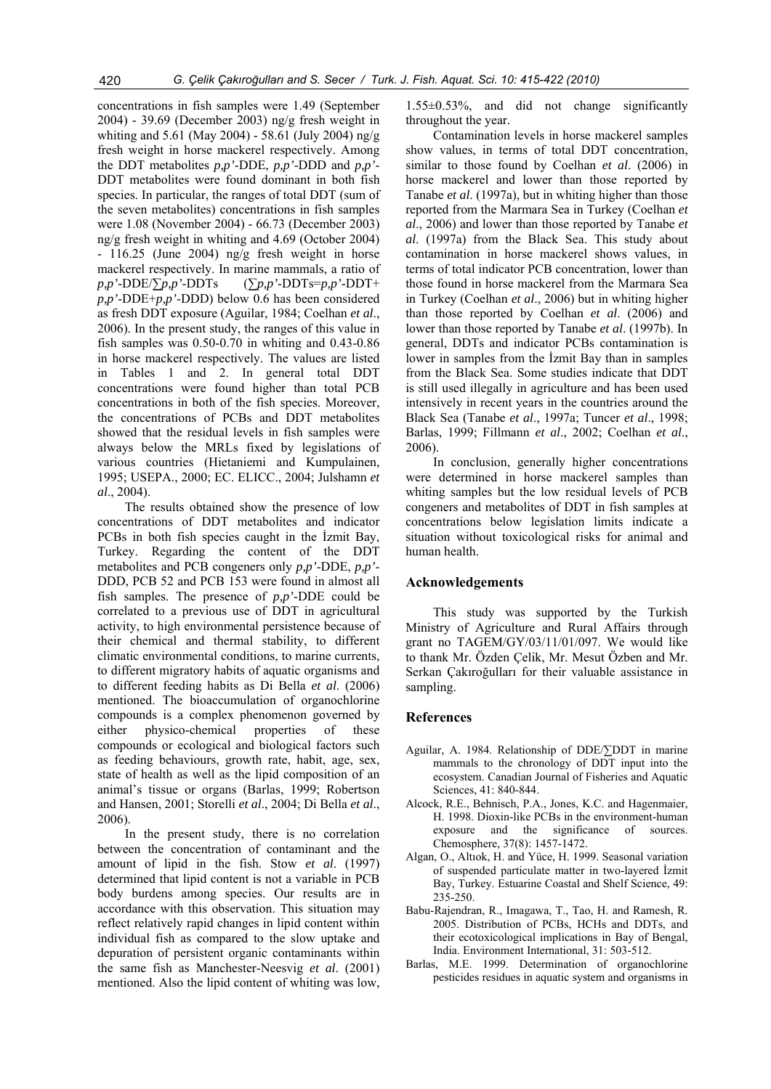concentrations in fish samples were 1.49 (September 2004) - 39.69 (December 2003) ng/g fresh weight in whiting and 5.61 (May 2004) - 58.61 (July 2004) ng/g fresh weight in horse mackerel respectively. Among the DDT metabolites *p,p'*-DDE, *p,p'*-DDD and *p,p'*- DDT metabolites were found dominant in both fish species. In particular, the ranges of total DDT (sum of the seven metabolites) concentrations in fish samples were 1.08 (November 2004) - 66.73 (December 2003) ng/g fresh weight in whiting and 4.69 (October 2004) - 116.25 (June 2004) ng/g fresh weight in horse mackerel respectively. In marine mammals, a ratio of *p,p'*-DDE/∑*p,p'*-DDTs (∑*p,p'*-DDTs=*p,p'*-DDT+ *p,p'*-DDE+*p,p'*-DDD) below 0.6 has been considered as fresh DDT exposure (Aguilar, 1984; Coelhan *et al*., 2006). In the present study, the ranges of this value in fish samples was 0.50-0.70 in whiting and 0.43-0.86 in horse mackerel respectively. The values are listed in Tables 1 and 2. In general total DDT concentrations were found higher than total PCB concentrations in both of the fish species. Moreover, the concentrations of PCBs and DDT metabolites showed that the residual levels in fish samples were always below the MRLs fixed by legislations of various countries (Hietaniemi and Kumpulainen, 1995; USEPA., 2000; EC. ELICC., 2004; Julshamn *et al*., 2004).

The results obtained show the presence of low concentrations of DDT metabolites and indicator PCBs in both fish species caught in the İzmit Bay, Turkey. Regarding the content of the DDT metabolites and PCB congeners only *p,p'*-DDE, *p,p'*- DDD, PCB 52 and PCB 153 were found in almost all fish samples. The presence of *p,p'*-DDE could be correlated to a previous use of DDT in agricultural activity, to high environmental persistence because of their chemical and thermal stability, to different climatic environmental conditions, to marine currents, to different migratory habits of aquatic organisms and to different feeding habits as Di Bella *et al*. (2006) mentioned. The bioaccumulation of organochlorine compounds is a complex phenomenon governed by either physico-chemical properties of these compounds or ecological and biological factors such as feeding behaviours, growth rate, habit, age, sex, state of health as well as the lipid composition of an animal's tissue or organs (Barlas, 1999; Robertson and Hansen, 2001; Storelli *et al*., 2004; Di Bella *et al*., 2006).

In the present study, there is no correlation between the concentration of contaminant and the amount of lipid in the fish. Stow *et al*. (1997) determined that lipid content is not a variable in PCB body burdens among species. Our results are in accordance with this observation. This situation may reflect relatively rapid changes in lipid content within individual fish as compared to the slow uptake and depuration of persistent organic contaminants within the same fish as Manchester-Neesvig *et al*. (2001) mentioned. Also the lipid content of whiting was low, 1.55±0.53%, and did not change significantly throughout the year.

Contamination levels in horse mackerel samples show values, in terms of total DDT concentration, similar to those found by Coelhan *et al*. (2006) in horse mackerel and lower than those reported by Tanabe *et al*. (1997a), but in whiting higher than those reported from the Marmara Sea in Turkey (Coelhan *et al*., 2006) and lower than those reported by Tanabe *et al*. (1997a) from the Black Sea. This study about contamination in horse mackerel shows values, in terms of total indicator PCB concentration, lower than those found in horse mackerel from the Marmara Sea in Turkey (Coelhan *et al*., 2006) but in whiting higher than those reported by Coelhan *et al*. (2006) and lower than those reported by Tanabe *et al*. (1997b). In general, DDTs and indicator PCBs contamination is lower in samples from the İzmit Bay than in samples from the Black Sea. Some studies indicate that DDT is still used illegally in agriculture and has been used intensively in recent years in the countries around the Black Sea (Tanabe *et al*., 1997a; Tuncer *et al*., 1998; Barlas, 1999; Fillmann *et al*., 2002; Coelhan *et al*., 2006).

In conclusion, generally higher concentrations were determined in horse mackerel samples than whiting samples but the low residual levels of PCB congeners and metabolites of DDT in fish samples at concentrations below legislation limits indicate a situation without toxicological risks for animal and human health.

#### **Acknowledgements**

This study was supported by the Turkish Ministry of Agriculture and Rural Affairs through grant no TAGEM/GY/03/11/01/097. We would like to thank Mr. Özden Çelik, Mr. Mesut Özben and Mr. Serkan Çakıroğulları for their valuable assistance in sampling.

#### **References**

- Aguilar, A. 1984. Relationship of DDE/∑DDT in marine mammals to the chronology of DDT input into the ecosystem. Canadian Journal of Fisheries and Aquatic Sciences, 41: 840-844.
- Alcock, R.E., Behnisch, P.A., Jones, K.C. and Hagenmaier, H. 1998. Dioxin-like PCBs in the environment-human exposure and the significance of sources. Chemosphere, 37(8): 1457-1472.
- Algan, O., Altıok, H. and Yüce, H. 1999. Seasonal variation of suspended particulate matter in two-layered İzmit Bay, Turkey. Estuarine Coastal and Shelf Science, 49: 235-250.
- Babu-Rajendran, R., Imagawa, T., Tao, H. and Ramesh, R. 2005. Distribution of PCBs, HCHs and DDTs, and their ecotoxicological implications in Bay of Bengal, India. Environment International, 31: 503-512.
- Barlas, M.E. 1999. Determination of organochlorine pesticides residues in aquatic system and organisms in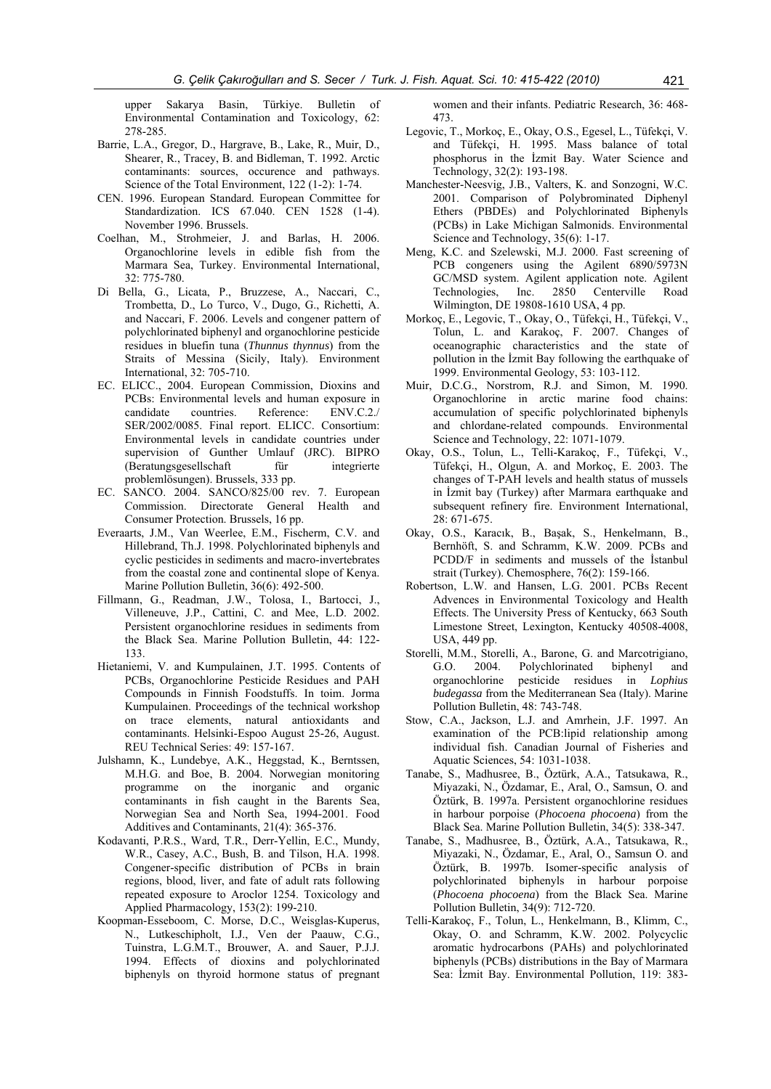upper Sakarya Basin, Türkiye. Bulletin of Environmental Contamination and Toxicology, 62: 278-285.

- Barrie, L.A., Gregor, D., Hargrave, B., Lake, R., Muir, D., Shearer, R., Tracey, B. and Bidleman, T. 1992. Arctic contaminants: sources, occurence and pathways. Science of the Total Environment, 122 (1-2): 1-74.
- CEN. 1996. European Standard. European Committee for Standardization. ICS 67.040. CEN 1528 (1-4). November 1996. Brussels.
- Coelhan, M., Strohmeier, J. and Barlas, H. 2006. Organochlorine levels in edible fish from the Marmara Sea, Turkey. Environmental International, 32: 775-780.
- Di Bella, G., Licata, P., Bruzzese, A., Naccari, C., Trombetta, D., Lo Turco, V., Dugo, G., Richetti, A. and Naccari, F. 2006. Levels and congener pattern of polychlorinated biphenyl and organochlorine pesticide residues in bluefin tuna (*Thunnus thynnus*) from the Straits of Messina (Sicily, Italy). Environment International, 32: 705-710.
- EC. ELICC., 2004. European Commission, Dioxins and PCBs: Environmental levels and human exposure in candidate countries. Reference: ENV.C.2./ SER/2002/0085. Final report. ELICC. Consortium: Environmental levels in candidate countries under supervision of Gunther Umlauf (JRC). BIPRO (Beratungsgesellschaft für integrierte problemlösungen). Brussels, 333 pp.
- EC. SANCO. 2004. SANCO/825/00 rev. 7. European Commission. Directorate General Health and Consumer Protection. Brussels, 16 pp.
- Everaarts, J.M., Van Weerlee, E.M., Fischerm, C.V. and Hillebrand, Th.J. 1998. Polychlorinated biphenyls and cyclic pesticides in sediments and macro-invertebrates from the coastal zone and continental slope of Kenya. Marine Pollution Bulletin, 36(6): 492-500.
- Fillmann, G., Readman, J.W., Tolosa, I., Bartocci, J., Villeneuve, J.P., Cattini, C. and Mee, L.D. 2002. Persistent organochlorine residues in sediments from the Black Sea. Marine Pollution Bulletin, 44: 122- 133.
- Hietaniemi, V. and Kumpulainen, J.T. 1995. Contents of PCBs, Organochlorine Pesticide Residues and PAH Compounds in Finnish Foodstuffs. In toim. Jorma Kumpulainen. Proceedings of the technical workshop on trace elements, natural antioxidants and contaminants. Helsinki-Espoo August 25-26, August. REU Technical Series: 49: 157-167.
- Julshamn, K., Lundebye, A.K., Heggstad, K., Berntssen, M.H.G. and Boe, B. 2004. Norwegian monitoring programme on the inorganic and organic contaminants in fish caught in the Barents Sea, Norwegian Sea and North Sea, 1994-2001. Food Additives and Contaminants, 21(4): 365-376.
- Kodavanti, P.R.S., Ward, T.R., Derr-Yellin, E.C., Mundy, W.R., Casey, A.C., Bush, B. and Tilson, H.A. 1998. Congener-specific distribution of PCBs in brain regions, blood, liver, and fate of adult rats following repeated exposure to Aroclor 1254. Toxicology and Applied Pharmacology, 153(2): 199-210.
- Koopman-Esseboom, C. Morse, D.C., Weisglas-Kuperus, N., Lutkeschipholt, I.J., Ven der Paauw, C.G., Tuinstra, L.G.M.T., Brouwer, A. and Sauer, P.J.J. 1994. Effects of dioxins and polychlorinated biphenyls on thyroid hormone status of pregnant

women and their infants. Pediatric Research, 36: 468- 473.

- Legovic, T., Morkoç, E., Okay, O.S., Egesel, L., Tüfekçi, V. and Tüfekçi, H. 1995. Mass balance of total phosphorus in the İzmit Bay. Water Science and Technology, 32(2): 193-198.
- Manchester-Neesvig, J.B., Valters, K. and Sonzogni, W.C. 2001. Comparison of Polybrominated Diphenyl Ethers (PBDEs) and Polychlorinated Biphenyls (PCBs) in Lake Michigan Salmonids. Environmental Science and Technology, 35(6): 1-17.
- Meng, K.C. and Szelewski, M.J. 2000. Fast screening of PCB congeners using the Agilent 6890/5973N GC/MSD system. Agilent application note. Agilent Technologies, Inc. 2850 Centerville Road Technologies, Inc. 2850 Wilmington, DE 19808-1610 USA, 4 pp.
- Morkoç, E., Legovic, T., Okay, O., Tüfekçi, H., Tüfekçi, V., Tolun, L. and Karakoç, F. 2007. Changes of oceanographic characteristics and the state of pollution in the İzmit Bay following the earthquake of 1999. Environmental Geology, 53: 103-112.
- Muir, D.C.G., Norstrom, R.J. and Simon, M. 1990. Organochlorine in arctic marine food chains: accumulation of specific polychlorinated biphenyls and chlordane-related compounds. Environmental Science and Technology, 22: 1071-1079.
- Okay, O.S., Tolun, L., Telli-Karakoç, F., Tüfekçi, V., Tüfekçi, H., Olgun, A. and Morkoç, E. 2003. The changes of T-PAH levels and health status of mussels in İzmit bay (Turkey) after Marmara earthquake and subsequent refinery fire. Environment International, 28: 671-675.
- Okay, O.S., Karacık, B., Başak, S., Henkelmann, B., Bernhöft, S. and Schramm, K.W. 2009. PCBs and PCDD/F in sediments and mussels of the İstanbul strait (Turkey). Chemosphere, 76(2): 159-166.
- Robertson, L.W. and Hansen, L.G. 2001. PCBs Recent Advences in Environmental Toxicology and Health Effects. The University Press of Kentucky, 663 South Limestone Street, Lexington, Kentucky 40508-4008, USA, 449 pp.
- Storelli, M.M., Storelli, A., Barone, G. and Marcotrigiano, G.O. 2004. Polychlorinated biphenyl and organochlorine pesticide residues in *Lophius budegassa* from the Mediterranean Sea (Italy). Marine Pollution Bulletin, 48: 743-748.
- Stow, C.A., Jackson, L.J. and Amrhein, J.F. 1997. An examination of the PCB:lipid relationship among individual fish. Canadian Journal of Fisheries and Aquatic Sciences, 54: 1031-1038.
- Tanabe, S., Madhusree, B., Öztürk, A.A., Tatsukawa, R., Miyazaki, N., Özdamar, E., Aral, O., Samsun, O. and Öztürk, B. 1997a. Persistent organochlorine residues in harbour porpoise (*Phocoena phocoena*) from the Black Sea. Marine Pollution Bulletin, 34(5): 338-347.
- Tanabe, S., Madhusree, B., Öztürk, A.A., Tatsukawa, R., Miyazaki, N., Özdamar, E., Aral, O., Samsun O. and Öztürk, B. 1997b. Isomer-specific analysis of polychlorinated biphenyls in harbour porpoise (*Phocoena phocoena*) from the Black Sea. Marine Pollution Bulletin, 34(9): 712-720.
- Telli-Karakoç, F., Tolun, L., Henkelmann, B., Klimm, C., Okay, O. and Schramm, K.W. 2002. Polycyclic aromatic hydrocarbons (PAHs) and polychlorinated biphenyls (PCBs) distributions in the Bay of Marmara Sea: İzmit Bay. Environmental Pollution, 119: 383-